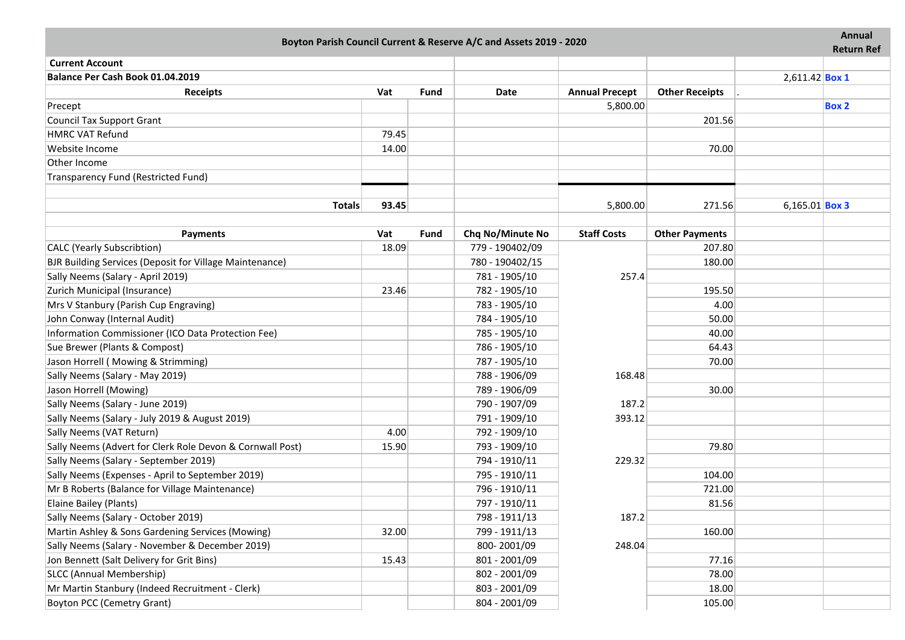| Boyton Parish Council Current & Reserve A/C and Assets 2019 - 2020 |              |             |                  |                       |                                 |                       | <b>Annual</b>     |
|--------------------------------------------------------------------|--------------|-------------|------------------|-----------------------|---------------------------------|-----------------------|-------------------|
| <b>Current Account</b>                                             |              |             |                  |                       |                                 |                       | <b>Return Ref</b> |
| Balance Per Cash Book 01.04.2019                                   |              |             |                  |                       |                                 |                       |                   |
|                                                                    |              | <b>Fund</b> | <b>Date</b>      | <b>Annual Precept</b> |                                 | 2,611.42 <b>Box 1</b> |                   |
| <b>Receipts</b>                                                    | Vat          |             |                  |                       | <b>Other Receipts</b>           |                       | <b>Box 2</b>      |
| Precept                                                            |              |             |                  | 5,800.00              | 201.56                          |                       |                   |
| <b>Council Tax Support Grant</b><br><b>HMRC VAT Refund</b>         | 79.45        |             |                  |                       |                                 |                       |                   |
|                                                                    |              |             |                  |                       |                                 |                       |                   |
| Website Income<br>Other Income                                     | 14.00        |             |                  |                       | 70.00                           |                       |                   |
|                                                                    |              |             |                  |                       |                                 |                       |                   |
| Transparency Fund (Restricted Fund)                                |              |             |                  |                       |                                 |                       |                   |
| <b>Totals</b>                                                      | 93.45        |             |                  | 5,800.00              | 271.56                          | 6,165.01 <b>Box 3</b> |                   |
|                                                                    |              |             |                  |                       |                                 |                       |                   |
| <b>Payments</b>                                                    | Vat<br>18.09 | <b>Fund</b> | Chq No/Minute No | <b>Staff Costs</b>    | <b>Other Payments</b><br>207.80 |                       |                   |
| <b>CALC</b> (Yearly Subscribtion)                                  |              |             | 779 - 190402/09  |                       |                                 |                       |                   |
| BJR Building Services (Deposit for Village Maintenance)            |              |             | 780 - 190402/15  |                       | 180.00                          |                       |                   |
| Sally Neems (Salary - April 2019)                                  |              |             | 781 - 1905/10    | 257.4                 |                                 |                       |                   |
| Zurich Municipal (Insurance)                                       | 23.46        |             | 782 - 1905/10    |                       | 195.50                          |                       |                   |
| Mrs V Stanbury (Parish Cup Engraving)                              |              |             | 783 - 1905/10    |                       | 4.00                            |                       |                   |
| John Conway (Internal Audit)                                       |              |             | 784 - 1905/10    |                       | 50.00                           |                       |                   |
| Information Commissioner (ICO Data Protection Fee)                 |              |             | 785 - 1905/10    |                       | 40.00                           |                       |                   |
| Sue Brewer (Plants & Compost)                                      |              |             | 786 - 1905/10    |                       | 64.43                           |                       |                   |
| Jason Horrell (Mowing & Strimming)                                 |              |             | 787 - 1905/10    |                       | 70.00                           |                       |                   |
| Sally Neems (Salary - May 2019)                                    |              |             | 788 - 1906/09    | 168.48                |                                 |                       |                   |
| Jason Horrell (Mowing)                                             |              |             | 789 - 1906/09    |                       | 30.00                           |                       |                   |
| Sally Neems (Salary - June 2019)                                   |              |             | 790 - 1907/09    | 187.2                 |                                 |                       |                   |
| Sally Neems (Salary - July 2019 & August 2019)                     |              |             | 791 - 1909/10    | 393.12                |                                 |                       |                   |
| Sally Neems (VAT Return)                                           | 4.00         |             | 792 - 1909/10    |                       |                                 |                       |                   |
| Sally Neems (Advert for Clerk Role Devon & Cornwall Post)          | 15.90        |             | 793 - 1909/10    |                       | 79.80                           |                       |                   |
| Sally Neems (Salary - September 2019)                              |              |             | 794 - 1910/11    | 229.32                |                                 |                       |                   |
| Sally Neems (Expenses - April to September 2019)                   |              |             | 795 - 1910/11    |                       | 104.00                          |                       |                   |
| Mr B Roberts (Balance for Village Maintenance)                     |              |             | 796 - 1910/11    |                       | 721.00                          |                       |                   |
| Elaine Bailey (Plants)                                             |              |             | 797 - 1910/11    |                       | 81.56                           |                       |                   |
| Sally Neems (Salary - October 2019)                                |              |             | 798 - 1911/13    | 187.2                 |                                 |                       |                   |
| Martin Ashley & Sons Gardening Services (Mowing)                   | 32.00        |             | 799 - 1911/13    |                       | 160.00                          |                       |                   |
| Sally Neems (Salary - November & December 2019)                    |              |             | 800-2001/09      | 248.04                |                                 |                       |                   |
| Jon Bennett (Salt Delivery for Grit Bins)                          | 15.43        |             | 801 - 2001/09    |                       | 77.16                           |                       |                   |
| SLCC (Annual Membership)                                           |              |             | 802 - 2001/09    |                       | 78.00                           |                       |                   |
| Mr Martin Stanbury (Indeed Recruitment - Clerk)                    |              |             | 803 - 2001/09    |                       | 18.00                           |                       |                   |
| <b>Boyton PCC (Cemetry Grant)</b>                                  |              |             | 804 - 2001/09    |                       | 105.00                          |                       |                   |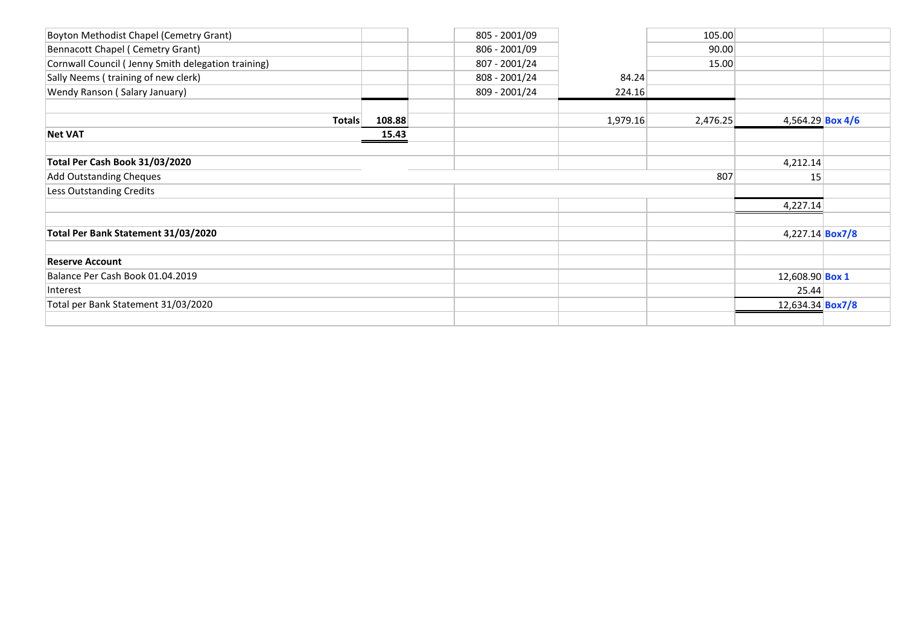|        | 805 - 2001/09 |          | 105.00   |                                                                                                                                 |
|--------|---------------|----------|----------|---------------------------------------------------------------------------------------------------------------------------------|
|        | 806 - 2001/09 |          | 90.00    |                                                                                                                                 |
|        | 807 - 2001/24 |          | 15.00    |                                                                                                                                 |
|        | 808 - 2001/24 | 84.24    |          |                                                                                                                                 |
|        | 809 - 2001/24 | 224.16   |          |                                                                                                                                 |
| 108.88 |               | 1,979.16 | 2,476.25 |                                                                                                                                 |
| 15.43  |               |          |          |                                                                                                                                 |
|        |               |          |          |                                                                                                                                 |
|        |               |          |          |                                                                                                                                 |
|        |               |          | 807      |                                                                                                                                 |
|        |               |          |          |                                                                                                                                 |
|        |               |          |          |                                                                                                                                 |
|        |               |          |          |                                                                                                                                 |
|        |               |          |          |                                                                                                                                 |
|        |               |          |          |                                                                                                                                 |
|        |               |          |          |                                                                                                                                 |
|        |               |          |          |                                                                                                                                 |
|        |               |          |          |                                                                                                                                 |
|        |               |          |          |                                                                                                                                 |
|        |               |          |          |                                                                                                                                 |
|        |               |          |          | 4,564.29 Box 4/6<br>4,212.14<br>15<br>4,227.14<br>4,227.14 <b>Box7/8</b><br>12,608.90 Box 1<br>25.44<br>12,634.34 <b>Box7/8</b> |